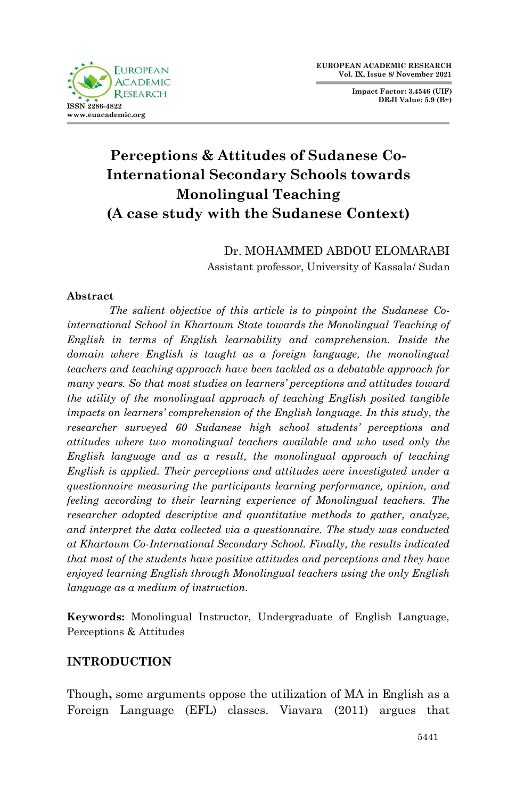

**Impact Factor: 3.4546 (UIF) DRJI Value: 5.9 (B+)**

# **Perceptions & Attitudes of Sudanese Co-International Secondary Schools towards Monolingual Teaching (A case study with the Sudanese Context)**

Dr. MOHAMMED ABDOU ELOMARABI Assistant professor, University of Kassala/ Sudan

#### **Abstract**

*The salient objective of this article is to pinpoint the Sudanese Cointernational School in Khartoum State towards the Monolingual Teaching of English in terms of English learnability and comprehension. Inside the domain where English is taught as a foreign language, the monolingual teachers and teaching approach have been tackled as a debatable approach for many years. So that most studies on learners' perceptions and attitudes toward the utility of the monolingual approach of teaching English posited tangible impacts on learners' comprehension of the English language. In this study, the researcher surveyed 60 Sudanese high school students' perceptions and attitudes where two monolingual teachers available and who used only the English language and as a result, the monolingual approach of teaching English is applied. Their perceptions and attitudes were investigated under a questionnaire measuring the participants learning performance, opinion, and feeling according to their learning experience of Monolingual teachers. The researcher adopted descriptive and quantitative methods to gather, analyze, and interpret the data collected via a questionnaire. The study was conducted at Khartoum Co-International Secondary School. Finally, the results indicated that most of the students have positive attitudes and perceptions and they have enjoyed learning English through Monolingual teachers using the only English language as a medium of instruction.*

**Keywords:** Monolingual Instructor, Undergraduate of English Language, Perceptions & Attitudes

### **INTRODUCTION**

Though**,** some arguments oppose the utilization of MA in English as a Foreign Language (EFL) classes. Viavara (2011) argues that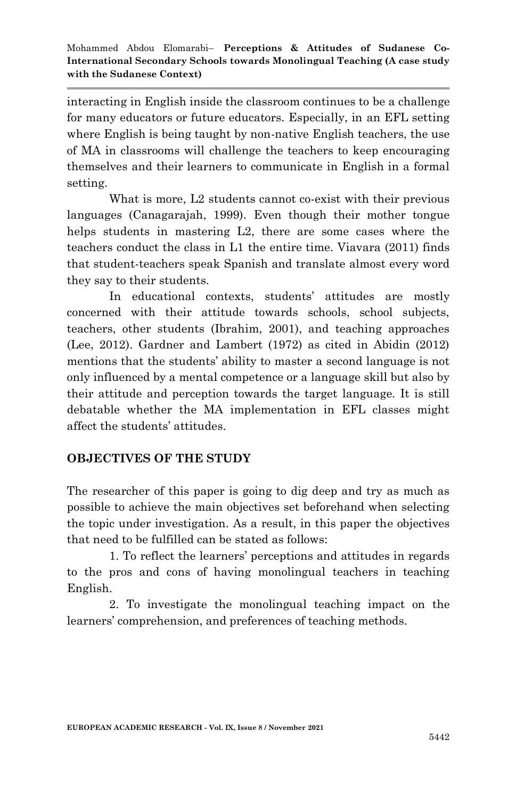interacting in English inside the classroom continues to be a challenge for many educators or future educators. Especially, in an EFL setting where English is being taught by non-native English teachers, the use of MA in classrooms will challenge the teachers to keep encouraging themselves and their learners to communicate in English in a formal setting.

What is more, L<sub>2</sub> students cannot co-exist with their previous languages (Canagarajah, 1999). Even though their mother tongue helps students in mastering L2, there are some cases where the teachers conduct the class in L1 the entire time. Viavara (2011) finds that student-teachers speak Spanish and translate almost every word they say to their students.

In educational contexts, students' attitudes are mostly concerned with their attitude towards schools, school subjects, teachers, other students (Ibrahim, 2001), and teaching approaches (Lee, 2012). Gardner and Lambert (1972) as cited in Abidin (2012) mentions that the students' ability to master a second language is not only influenced by a mental competence or a language skill but also by their attitude and perception towards the target language. It is still debatable whether the MA implementation in EFL classes might affect the students' attitudes.

## **OBJECTIVES OF THE STUDY**

The researcher of this paper is going to dig deep and try as much as possible to achieve the main objectives set beforehand when selecting the topic under investigation. As a result, in this paper the objectives that need to be fulfilled can be stated as follows:

1. To reflect the learners' perceptions and attitudes in regards to the pros and cons of having monolingual teachers in teaching English.

2. To investigate the monolingual teaching impact on the learners' comprehension, and preferences of teaching methods.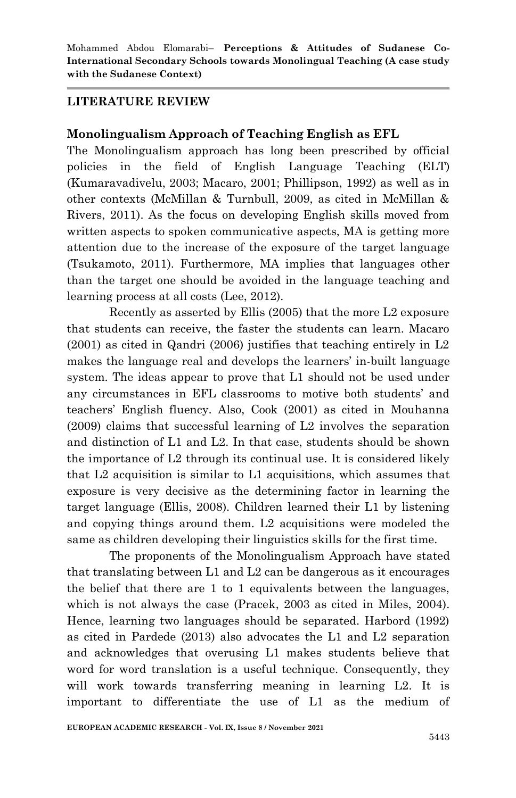#### **LITERATURE REVIEW**

### **Monolingualism Approach of Teaching English as EFL**

The Monolingualism approach has long been prescribed by official policies in the field of English Language Teaching (ELT) (Kumaravadivelu, 2003; Macaro, 2001; Phillipson, 1992) as well as in other contexts (McMillan & Turnbull, 2009, as cited in McMillan & Rivers, 2011). As the focus on developing English skills moved from written aspects to spoken communicative aspects, MA is getting more attention due to the increase of the exposure of the target language (Tsukamoto, 2011). Furthermore, MA implies that languages other than the target one should be avoided in the language teaching and learning process at all costs (Lee, 2012).

Recently as asserted by Ellis (2005) that the more L2 exposure that students can receive, the faster the students can learn. Macaro (2001) as cited in Qandri (2006) justifies that teaching entirely in L2 makes the language real and develops the learners' in-built language system. The ideas appear to prove that L1 should not be used under any circumstances in EFL classrooms to motive both students' and teachers' English fluency. Also, Cook (2001) as cited in Mouhanna (2009) claims that successful learning of L2 involves the separation and distinction of L1 and L2. In that case, students should be shown the importance of L2 through its continual use. It is considered likely that L2 acquisition is similar to L1 acquisitions, which assumes that exposure is very decisive as the determining factor in learning the target language (Ellis, 2008). Children learned their L1 by listening and copying things around them. L2 acquisitions were modeled the same as children developing their linguistics skills for the first time.

The proponents of the Monolingualism Approach have stated that translating between L1 and L2 can be dangerous as it encourages the belief that there are 1 to 1 equivalents between the languages, which is not always the case (Pracek, 2003 as cited in Miles, 2004). Hence, learning two languages should be separated. Harbord (1992) as cited in Pardede (2013) also advocates the L1 and L2 separation and acknowledges that overusing L1 makes students believe that word for word translation is a useful technique. Consequently, they will work towards transferring meaning in learning L2. It is important to differentiate the use of L1 as the medium of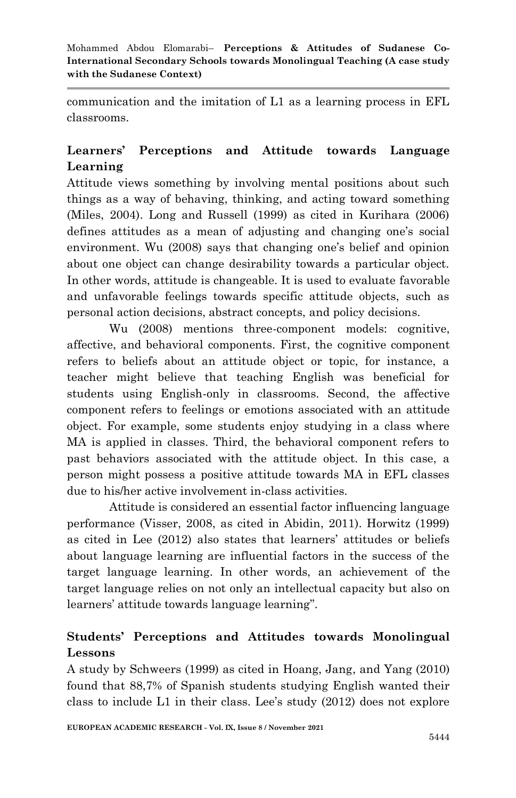communication and the imitation of L1 as a learning process in EFL classrooms.

## **Learners' Perceptions and Attitude towards Language Learning**

Attitude views something by involving mental positions about such things as a way of behaving, thinking, and acting toward something (Miles, 2004). Long and Russell (1999) as cited in Kurihara (2006) defines attitudes as a mean of adjusting and changing one's social environment. Wu (2008) says that changing one's belief and opinion about one object can change desirability towards a particular object. In other words, attitude is changeable. It is used to evaluate favorable and unfavorable feelings towards specific attitude objects, such as personal action decisions, abstract concepts, and policy decisions.

Wu (2008) mentions three-component models: cognitive, affective, and behavioral components. First, the cognitive component refers to beliefs about an attitude object or topic, for instance, a teacher might believe that teaching English was beneficial for students using English-only in classrooms. Second, the affective component refers to feelings or emotions associated with an attitude object. For example, some students enjoy studying in a class where MA is applied in classes. Third, the behavioral component refers to past behaviors associated with the attitude object. In this case, a person might possess a positive attitude towards MA in EFL classes due to his/her active involvement in-class activities.

Attitude is considered an essential factor influencing language performance (Visser, 2008, as cited in Abidin, 2011). Horwitz (1999) as cited in Lee (2012) also states that learners' attitudes or beliefs about language learning are influential factors in the success of the target language learning. In other words, an achievement of the target language relies on not only an intellectual capacity but also on learners' attitude towards language learning".

## **Students' Perceptions and Attitudes towards Monolingual Lessons**

A study by Schweers (1999) as cited in Hoang, Jang, and Yang (2010) found that 88,7% of Spanish students studying English wanted their class to include L1 in their class. Lee's study (2012) does not explore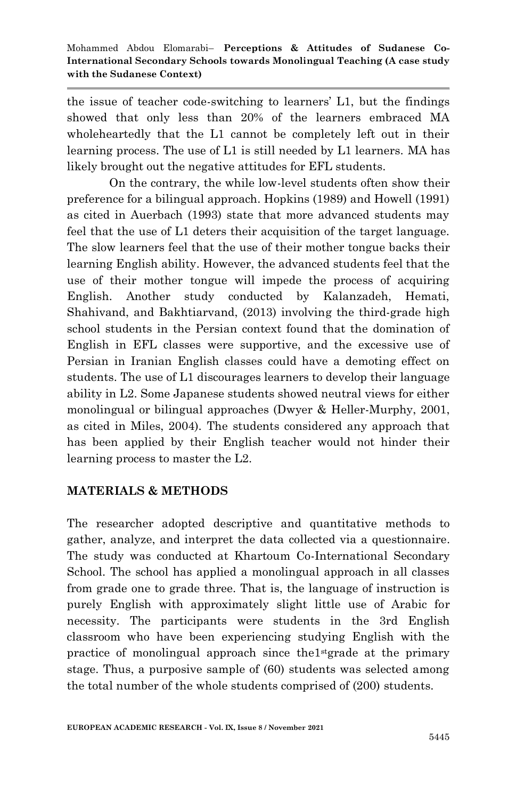the issue of teacher code-switching to learners' L1, but the findings showed that only less than 20% of the learners embraced MA wholeheartedly that the L1 cannot be completely left out in their learning process. The use of L1 is still needed by L1 learners. MA has likely brought out the negative attitudes for EFL students.

On the contrary, the while low-level students often show their preference for a bilingual approach. Hopkins (1989) and Howell (1991) as cited in Auerbach (1993) state that more advanced students may feel that the use of L1 deters their acquisition of the target language. The slow learners feel that the use of their mother tongue backs their learning English ability. However, the advanced students feel that the use of their mother tongue will impede the process of acquiring English. Another study conducted by Kalanzadeh, Hemati, Shahivand, and Bakhtiarvand, (2013) involving the third-grade high school students in the Persian context found that the domination of English in EFL classes were supportive, and the excessive use of Persian in Iranian English classes could have a demoting effect on students. The use of L1 discourages learners to develop their language ability in L2. Some Japanese students showed neutral views for either monolingual or bilingual approaches (Dwyer & Heller-Murphy, 2001, as cited in Miles, 2004). The students considered any approach that has been applied by their English teacher would not hinder their learning process to master the L2.

## **MATERIALS & METHODS**

The researcher adopted descriptive and quantitative methods to gather, analyze, and interpret the data collected via a questionnaire. The study was conducted at Khartoum Co-International Secondary School. The school has applied a monolingual approach in all classes from grade one to grade three. That is, the language of instruction is purely English with approximately slight little use of Arabic for necessity. The participants were students in the 3rd English classroom who have been experiencing studying English with the practice of monolingual approach since the1stgrade at the primary stage. Thus, a purposive sample of (60) students was selected among the total number of the whole students comprised of (200) students.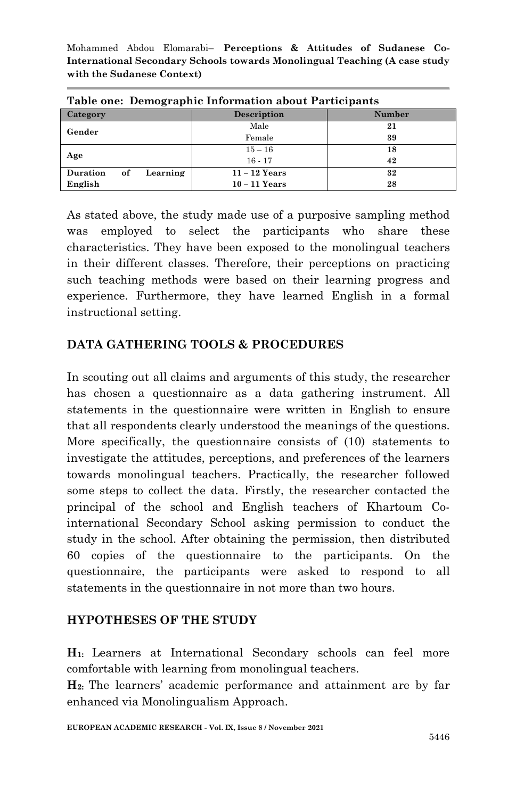| Table one: Demographic Information about Participants |                    |        |  |  |  |
|-------------------------------------------------------|--------------------|--------|--|--|--|
| Category                                              | <b>Description</b> | Number |  |  |  |
| Gender                                                | Male               | 21     |  |  |  |
|                                                       | Female             | 39     |  |  |  |
| Age                                                   | $15 - 16$          | 18     |  |  |  |
|                                                       | $16 - 17$          | 42     |  |  |  |
| <b>Duration</b><br>Learning<br>of                     | $11 - 12$ Years    | 32     |  |  |  |
| English                                               | $10 - 11$ Years    | 28     |  |  |  |

**Table one: Demographic Information about Participants** 

As stated above, the study made use of a purposive sampling method was employed to select the participants who share these characteristics. They have been exposed to the monolingual teachers in their different classes. Therefore, their perceptions on practicing such teaching methods were based on their learning progress and experience. Furthermore, they have learned English in a formal instructional setting.

## **DATA GATHERING TOOLS & PROCEDURES**

In scouting out all claims and arguments of this study, the researcher has chosen a questionnaire as a data gathering instrument. All statements in the questionnaire were written in English to ensure that all respondents clearly understood the meanings of the questions. More specifically, the questionnaire consists of (10) statements to investigate the attitudes, perceptions, and preferences of the learners towards monolingual teachers. Practically, the researcher followed some steps to collect the data. Firstly, the researcher contacted the principal of the school and English teachers of Khartoum Cointernational Secondary School asking permission to conduct the study in the school. After obtaining the permission, then distributed 60 copies of the questionnaire to the participants. On the questionnaire, the participants were asked to respond to all statements in the questionnaire in not more than two hours.

## **HYPOTHESES OF THE STUDY**

**H1:** Learners at International Secondary schools can feel more comfortable with learning from monolingual teachers.

**H2:** The learners' academic performance and attainment are by far enhanced via Monolingualism Approach.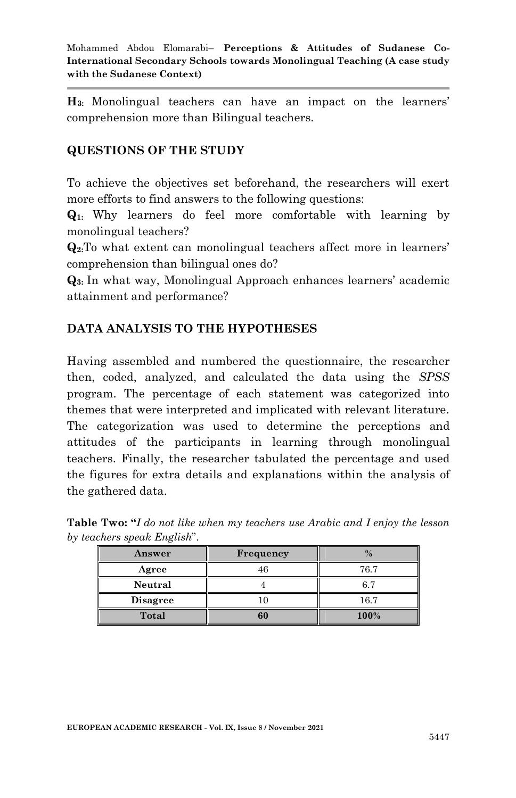**H3:** Monolingual teachers can have an impact on the learners' comprehension more than Bilingual teachers.

## **QUESTIONS OF THE STUDY**

To achieve the objectives set beforehand, the researchers will exert more efforts to find answers to the following questions:

**Q1:** Why learners do feel more comfortable with learning by monolingual teachers?

**Q2:**To what extent can monolingual teachers affect more in learners' comprehension than bilingual ones do?

**Q3:** In what way, Monolingual Approach enhances learners' academic attainment and performance?

## **DATA ANALYSIS TO THE HYPOTHESES**

Having assembled and numbered the questionnaire, the researcher then, coded, analyzed, and calculated the data using the *SPSS* program. The percentage of each statement was categorized into themes that were interpreted and implicated with relevant literature. The categorization was used to determine the perceptions and attitudes of the participants in learning through monolingual teachers. Finally, the researcher tabulated the percentage and used the figures for extra details and explanations within the analysis of the gathered data.

| Answer          | Frequency |      |
|-----------------|-----------|------|
| Agree           | 46        | 76.7 |
| Neutral         |           | 6.7  |
| <b>Disagree</b> |           | 16.7 |
| <b>Total</b>    | 60        | 100% |

**Table Two: "***I do not like when my teachers use Arabic and I enjoy the lesson by teachers speak English*".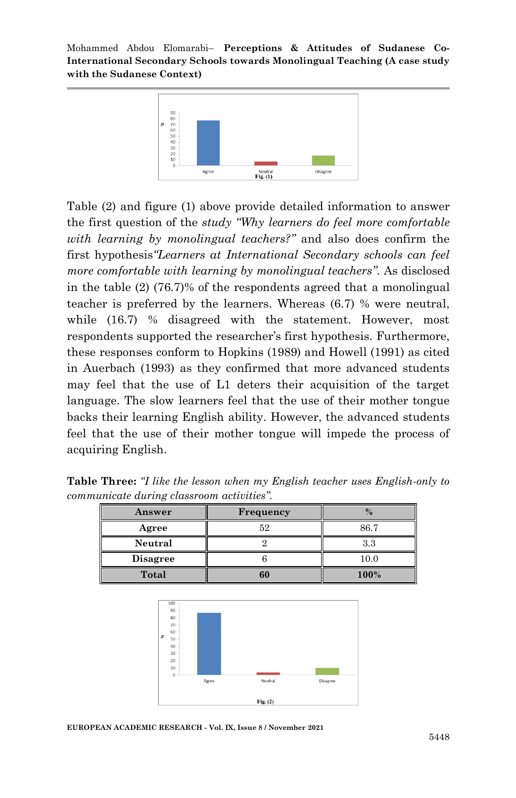

Table (2) and figure (1) above provide detailed information to answer the first question of the *study "Why learners do feel more comfortable with learning by monolingual teachers?"* and also does confirm the first hypothesis*"Learners at International Secondary schools can feel more comfortable with learning by monolingual teachers".* As disclosed in the table (2) (76.7)% of the respondents agreed that a monolingual teacher is preferred by the learners. Whereas (6.7) % were neutral, while  $(16.7)$  % disagreed with the statement. However, most respondents supported the researcher's first hypothesis. Furthermore, these responses conform to Hopkins (1989) and Howell (1991) as cited in Auerbach (1993) as they confirmed that more advanced students may feel that the use of L1 deters their acquisition of the target language. The slow learners feel that the use of their mother tongue backs their learning English ability. However, the advanced students feel that the use of their mother tongue will impede the process of acquiring English.

**Table Three:** *"I like the lesson when my English teacher uses English-only to communicate during classroom activities".*

| Answer          | Frequency |          |
|-----------------|-----------|----------|
| Agree           | 52        | 86.7     |
| Neutral         |           | 3.3      |
| <b>Disagree</b> |           | $10.0\,$ |
| Total           | 60        | 100%     |



**EUROPEAN ACADEMIC RESEARCH - Vol. IX, Issue 8 / November 2021**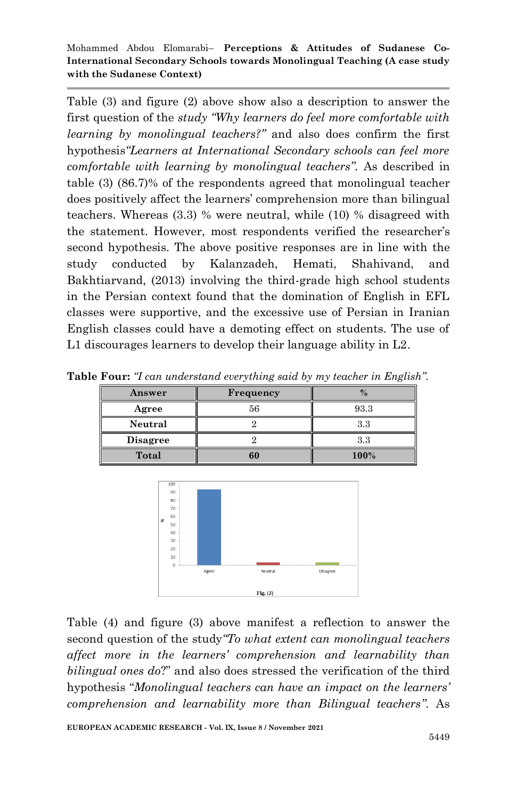Table (3) and figure (2) above show also a description to answer the first question of the *study "Why learners do feel more comfortable with learning by monolingual teachers?"* and also does confirm the first hypothesis*"Learners at International Secondary schools can feel more comfortable with learning by monolingual teachers".* As described in table (3) (86.7)% of the respondents agreed that monolingual teacher does positively affect the learners' comprehension more than bilingual teachers. Whereas (3.3) % were neutral, while (10) % disagreed with the statement. However, most respondents verified the researcher's second hypothesis. The above positive responses are in line with the study conducted by Kalanzadeh, Hemati, Shahivand, and Bakhtiarvand, (2013) involving the third-grade high school students in the Persian context found that the domination of English in EFL classes were supportive, and the excessive use of Persian in Iranian English classes could have a demoting effect on students. The use of L1 discourages learners to develop their language ability in L2.

| Answer          | Frequency |      |
|-----------------|-----------|------|
| Agree           | 56        | 93.3 |
| Neutral         |           | 3.3  |
| <b>Disagree</b> |           | 3.3  |
| <b>Total</b>    | 60        | 100% |

**Table Four:** *"I can understand everything said by my teacher in English".*



Table (4) and figure (3) above manifest a reflection to answer the second question of the study*"To what extent can monolingual teachers affect more in the learners' comprehension and learnability than bilingual ones do*?" and also does stressed the verification of the third hypothesis "*Monolingual teachers can have an impact on the learners' comprehension and learnability more than Bilingual teachers"*. As

**EUROPEAN ACADEMIC RESEARCH - Vol. IX, Issue 8 / November 2021**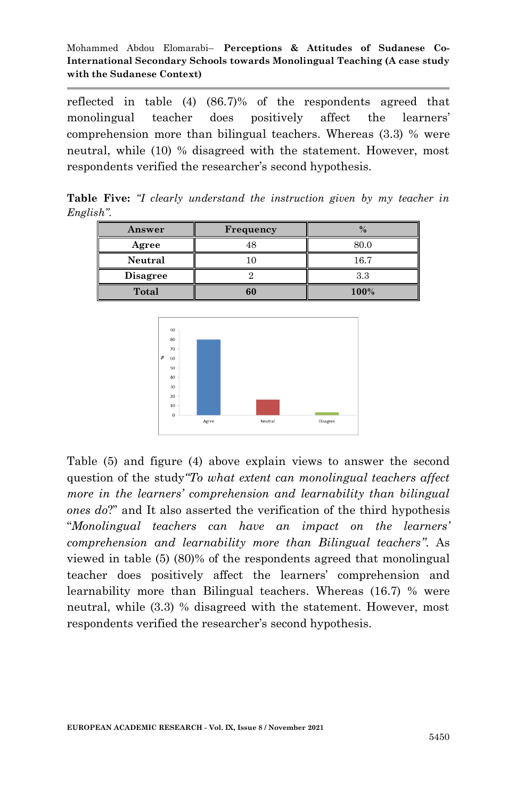reflected in table (4) (86.7)% of the respondents agreed that monolingual teacher does positively affect the learners' comprehension more than bilingual teachers. Whereas (3.3) % were neutral, while (10) % disagreed with the statement. However, most respondents verified the researcher's second hypothesis.

**Table Five:** *"I clearly understand the instruction given by my teacher in English".*

| Answer          | Frequency |      |
|-----------------|-----------|------|
| Agree           | 48        | 80.0 |
| Neutral         |           | 16.7 |
| <b>Disagree</b> |           | 3.3  |
| Total           | 60        | 100% |



Table (5) and figure (4) above explain views to answer the second question of the study*"To what extent can monolingual teachers affect more in the learners' comprehension and learnability than bilingual ones do*?" and It also asserted the verification of the third hypothesis "*Monolingual teachers can have an impact on the learners' comprehension and learnability more than Bilingual teachers"*. As viewed in table (5) (80)% of the respondents agreed that monolingual teacher does positively affect the learners' comprehension and learnability more than Bilingual teachers. Whereas (16.7) % were neutral, while (3.3) % disagreed with the statement. However, most respondents verified the researcher's second hypothesis.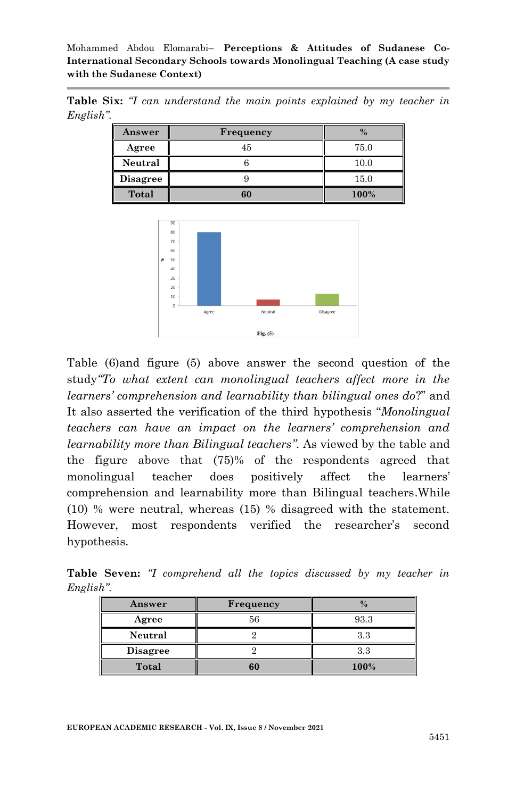**Table Six:** *"I can understand the main points explained by my teacher in English".*

| Answer          | <b>Frequency</b> |      |
|-----------------|------------------|------|
| Agree           | 45               | 75.0 |
| Neutral         |                  | 10.0 |
| <b>Disagree</b> |                  | 15.0 |
| Total           | 60               | 100% |



Table (6)and figure (5) above answer the second question of the study*"To what extent can monolingual teachers affect more in the learners' comprehension and learnability than bilingual ones do*?" and It also asserted the verification of the third hypothesis "*Monolingual teachers can have an impact on the learners' comprehension and learnability more than Bilingual teachers"*. As viewed by the table and the figure above that (75)% of the respondents agreed that monolingual teacher does positively affect the learners' comprehension and learnability more than Bilingual teachers.While (10) % were neutral, whereas (15) % disagreed with the statement. However, most respondents verified the researcher's second hypothesis.

|           | $\Delta$ newar |  | Frequency |                                                                             |  |  |
|-----------|----------------|--|-----------|-----------------------------------------------------------------------------|--|--|
| English". |                |  |           |                                                                             |  |  |
|           |                |  |           | <b>Table Seven:</b> "I comprehend all the topics discussed by my teacher in |  |  |

| Answer          | Frequency |      |
|-----------------|-----------|------|
| Agree           | 56        | 93.3 |
| Neutral         |           | 3.3  |
| <b>Disagree</b> |           | 3.3  |
| Total           | 60        | 100% |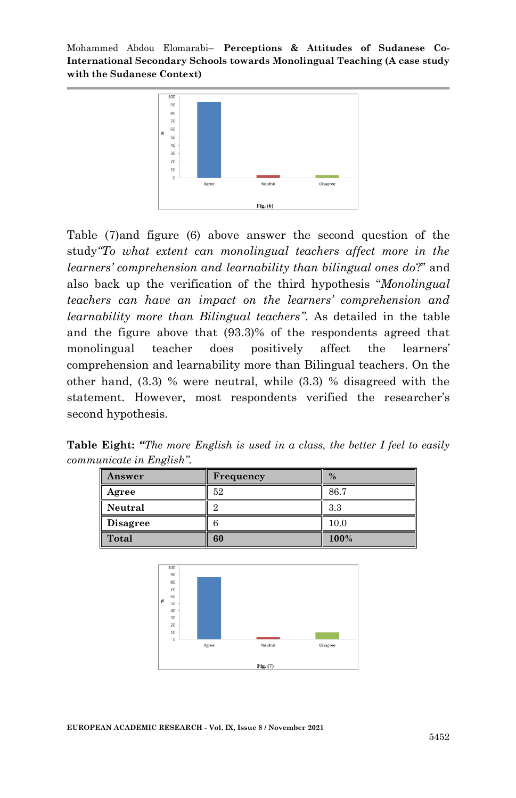

Table (7)and figure (6) above answer the second question of the study*"To what extent can monolingual teachers affect more in the learners' comprehension and learnability than bilingual ones do*?" and also back up the verification of the third hypothesis "*Monolingual teachers can have an impact on the learners' comprehension and learnability more than Bilingual teachers"*. As detailed in the table and the figure above that (93.3)% of the respondents agreed that monolingual teacher does positively affect the learners' comprehension and learnability more than Bilingual teachers. On the other hand, (3.3) % were neutral, while (3.3) % disagreed with the statement. However, most respondents verified the researcher's second hypothesis.

**Table Eight:** *"The more English is used in a class, the better I feel to easily communicate in English".*

| Answer          | Frequency | $\frac{0}{6}$ |
|-----------------|-----------|---------------|
| Agree           | 52        | 86.7          |
| Neutral         |           | 3.3           |
| <b>Disagree</b> |           | 10.0          |
| Total           | 60        | 100%          |



**EUROPEAN ACADEMIC RESEARCH - Vol. IX, Issue 8 / November 2021**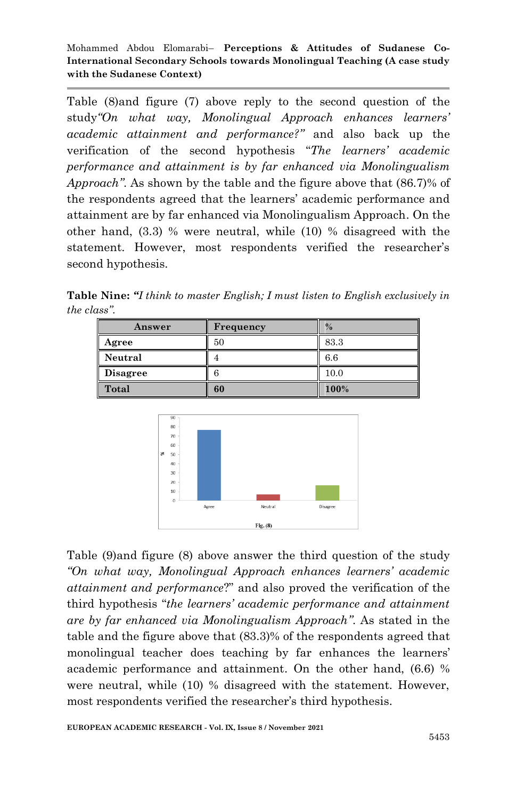Table (8)and figure (7) above reply to the second question of the study*"On what way, Monolingual Approach enhances learners' academic attainment and performance?"* and also back up the verification of the second hypothesis "*The learners' academic performance and attainment is by far enhanced via Monolingualism Approach"*. As shown by the table and the figure above that (86.7)% of the respondents agreed that the learners' academic performance and attainment are by far enhanced via Monolingualism Approach. On the other hand, (3.3) % were neutral, while (10) % disagreed with the statement. However, most respondents verified the researcher's second hypothesis.

**Table Nine:** *"I think to master English; I must listen to English exclusively in the class".*

| Answer          | <b>Frequency</b> | $\%$ |
|-----------------|------------------|------|
| Agree           | 50               | 83.3 |
| Neutral         |                  | 6.6  |
| <b>Disagree</b> |                  | 10.0 |
| Total           | 60               | 100% |



Table (9)and figure (8) above answer the third question of the study *"On what way, Monolingual Approach enhances learners' academic attainment and performance*?" and also proved the verification of the third hypothesis "*the learners' academic performance and attainment are by far enhanced via Monolingualism Approach"*. As stated in the table and the figure above that (83.3)% of the respondents agreed that monolingual teacher does teaching by far enhances the learners' academic performance and attainment. On the other hand, (6.6) % were neutral, while (10) % disagreed with the statement. However, most respondents verified the researcher's third hypothesis.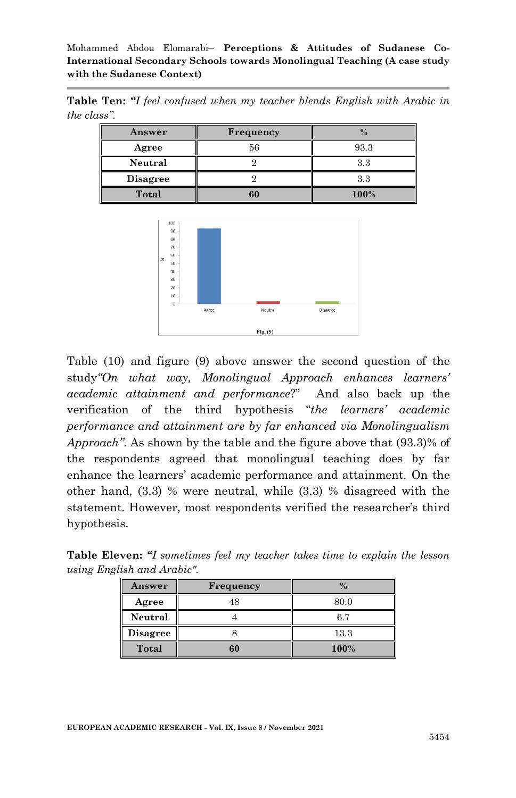**Table Ten:** *"I feel confused when my teacher blends English with Arabic in the class".*

| Answer          | Frequency |              |
|-----------------|-----------|--------------|
| Agree           | 56        | 93.3         |
| Neutral         |           | $_{\rm 3.3}$ |
| <b>Disagree</b> |           | 3.3          |
| Total           | 60        | 100%         |



Table (10) and figure (9) above answer the second question of the study*"On what way, Monolingual Approach enhances learners' academic attainment and performance*?" And also back up the verification of the third hypothesis "*the learners' academic performance and attainment are by far enhanced via Monolingualism Approach"*. As shown by the table and the figure above that (93.3)% of the respondents agreed that monolingual teaching does by far enhance the learners' academic performance and attainment. On the other hand, (3.3) % were neutral, while (3.3) % disagreed with the statement. However, most respondents verified the researcher's third hypothesis.

| Answer          | <b>Frequency</b> |      |
|-----------------|------------------|------|
| Agree           | 48               | 80.0 |
| Neutral         |                  | 6.7  |
| <b>Disagree</b> |                  | 13.3 |
| <b>Total</b>    | 60               | 100% |

**Table Eleven:** *"I sometimes feel my teacher takes time to explain the lesson using English and Arabic".*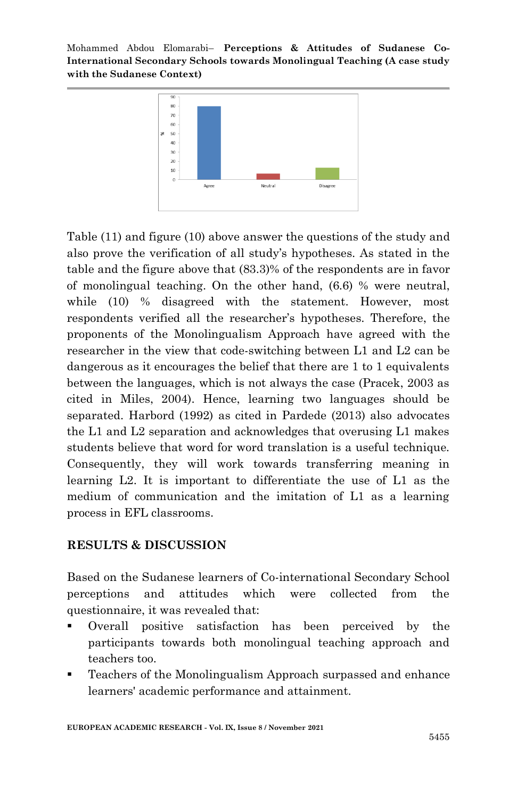

Table (11) and figure (10) above answer the questions of the study and also prove the verification of all study's hypotheses. As stated in the table and the figure above that (83.3)% of the respondents are in favor of monolingual teaching. On the other hand, (6.6) % were neutral, while (10) % disagreed with the statement. However, most respondents verified all the researcher's hypotheses. Therefore, the proponents of the Monolingualism Approach have agreed with the researcher in the view that code-switching between L1 and L2 can be dangerous as it encourages the belief that there are 1 to 1 equivalents between the languages, which is not always the case (Pracek, 2003 as cited in Miles, 2004). Hence, learning two languages should be separated. Harbord (1992) as cited in Pardede (2013) also advocates the L1 and L2 separation and acknowledges that overusing L1 makes students believe that word for word translation is a useful technique. Consequently, they will work towards transferring meaning in learning L2. It is important to differentiate the use of L1 as the medium of communication and the imitation of L1 as a learning process in EFL classrooms.

### **RESULTS & DISCUSSION**

Based on the Sudanese learners of Co-international Secondary School perceptions and attitudes which were collected from the questionnaire, it was revealed that:

- Overall positive satisfaction has been perceived by the participants towards both monolingual teaching approach and teachers too.
- Teachers of the Monolingualism Approach surpassed and enhance learners' academic performance and attainment.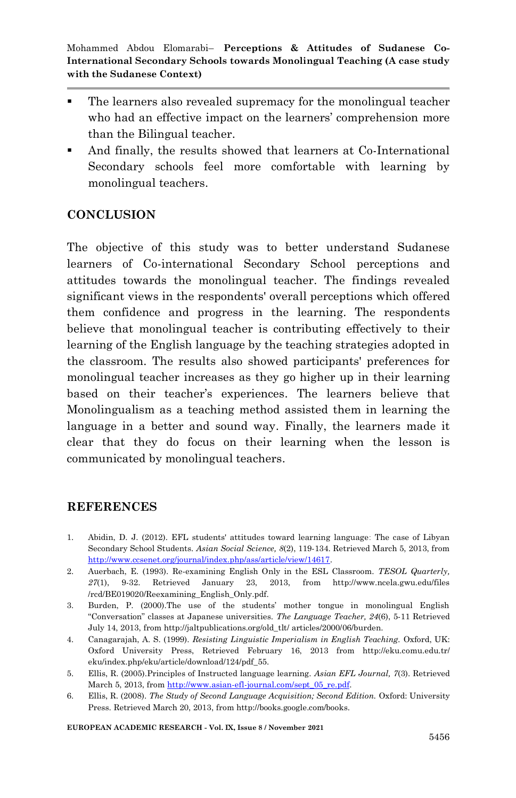- The learners also revealed supremacy for the monolingual teacher who had an effective impact on the learners' comprehension more than the Bilingual teacher.
- And finally, the results showed that learners at Co-International Secondary schools feel more comfortable with learning by monolingual teachers.

## **CONCLUSION**

The objective of this study was to better understand Sudanese learners of Co-international Secondary School perceptions and attitudes towards the monolingual teacher. The findings revealed significant views in the respondents' overall perceptions which offered them confidence and progress in the learning. The respondents believe that monolingual teacher is contributing effectively to their learning of the English language by the teaching strategies adopted in the classroom. The results also showed participants' preferences for monolingual teacher increases as they go higher up in their learning based on their teacher's experiences. The learners believe that Monolingualism as a teaching method assisted them in learning the language in a better and sound way. Finally, the learners made it clear that they do focus on their learning when the lesson is communicated by monolingual teachers.

### **REFERENCES**

- 1. Abidin, D. J. (2012). EFL students' attitudes toward learning languageː The case of Libyan Secondary School Students. *Asian Social Science, 8*(2), 119-134. Retrieved March 5, 2013, from [http://www.ccsenet.org/journal/index.php/ass/article/view/14617.](http://www.ccsenet.org/journal/index.php/ass/article/view/14617)
- 2. Auerbach, E. (1993). Re-examining English Only in the ESL Classroom. *TESOL Quarterly, 27*(1), 9-32. Retrieved January 23, 2013, from http://www.ncela.gwu.edu/files /rcd/BE019020/Reexamining\_English\_Only.pdf.
- 3. Burden, P. (2000).The use of the students' mother tongue in monolingual English "Conversation" classes at Japanese universities. *The Language Teacher, 24*(6), 5-11 Retrieved July 14, 2013, from http://jaltpublications.org/old\_tlt/ articles/2000/06/burden.
- 4. Canagarajah, A. S. (1999). *Resisting Linguistic Imperialism in English Teaching.* Oxford, UK: Oxford University Press, Retrieved February 16, 2013 from http://eku.comu.edu.tr/ eku/index.php/eku/article/download/124/pdf\_55.
- 5. Ellis, R. (2005).Principles of Instructed language learning. *Asian EFL Journal, 7*(3). Retrieved March 5, 2013, fro[m http://www.asian-efl-journal.com/sept\\_05\\_re.pdf.](http://www.asian-efl-journal.com/sept_05_re.pdf)
- 6. Ellis, R. (2008). *The Study of Second Language Acquisition; Second Edition.* Oxford: University Press. Retrieved March 20, 2013, from http://books.google.com/books.

**EUROPEAN ACADEMIC RESEARCH - Vol. IX, Issue 8 / November 2021**